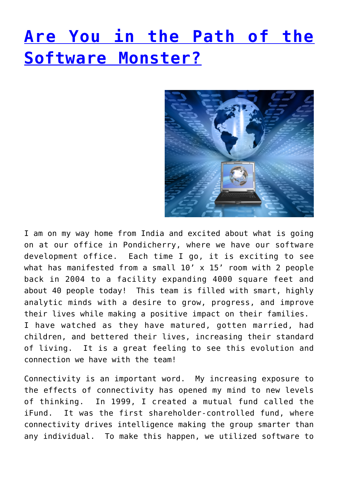## **[Are You in the Path of the](http://anentrepreneurialjourney.com/are-you-in-the-path-of-the-software-monster/) [Software Monster?](http://anentrepreneurialjourney.com/are-you-in-the-path-of-the-software-monster/)**



I am on my way home from India and excited about what is going on at our office in Pondicherry, where we have our software development office. Each time I go, it is exciting to see what has manifested from a small 10' x 15' room with 2 people back in 2004 to a facility expanding 4000 square feet and about 40 people today! This team is filled with smart, highly analytic minds with a desire to grow, progress, and improve their lives while making a positive impact on their families. I have watched as they have matured, gotten married, had children, and bettered their lives, increasing their standard of living. It is a great feeling to see this evolution and connection we have with the team!

Connectivity is an important word. My increasing exposure to the effects of connectivity has opened my mind to new levels of thinking. In 1999, I created a mutual fund called the iFund. It was the first shareholder-controlled fund, where connectivity drives intelligence making the group smarter than any individual. To make this happen, we utilized software to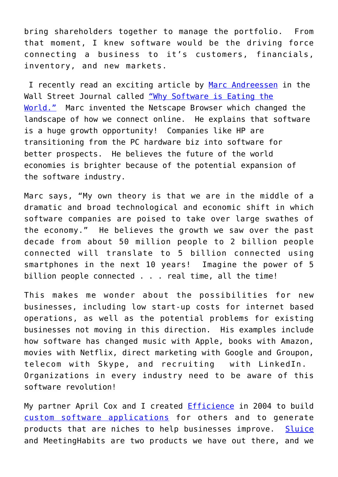bring shareholders together to manage the portfolio. From that moment, I knew software would be the driving force connecting a business to it's customers, financials, inventory, and new markets.

 I recently read an exciting article by [Marc Andreessen](http://blog.pmarca.com/) in the Wall Street Journal called ["Why Software is Eating the](http://online.wsj.com/article/SB10001424053111903480904576512250915629460.html) [World."](http://online.wsj.com/article/SB10001424053111903480904576512250915629460.html) Marc invented the Netscape Browser which changed the landscape of how we connect online. He explains that software is a huge growth opportunity! Companies like HP are transitioning from the PC hardware biz into software for better prospects. He believes the future of the world economies is brighter because of the potential expansion of the software industry.

Marc says, "My own theory is that we are in the middle of a dramatic and broad technological and economic shift in which software companies are poised to take over large swathes of the economy." He believes the growth we saw over the past decade from about 50 million people to 2 billion people connected will translate to 5 billion connected using smartphones in the next 10 years! Imagine the power of 5 billion people connected . . . real time, all the time!

This makes me wonder about the possibilities for new businesses, including low start-up costs for internet based operations, as well as the potential problems for existing businesses not moving in this direction. His examples include how software has changed music with Apple, books with Amazon, movies with Netflix, direct marketing with Google and Groupon, telecom with Skype, and recruiting with LinkedIn. Organizations in every industry need to be aware of this software revolution!

My partner April Cox and I created **Efficience** in 2004 to build [custom software applications](http://anentrepreneurialjourney.com/solutions/types-of-solutions/customized-software-enhancements/) for others and to generate products that are niches to help businesses improve. [Sluice](http://sluiceit.com) and MeetingHabits are two products we have out there, and we